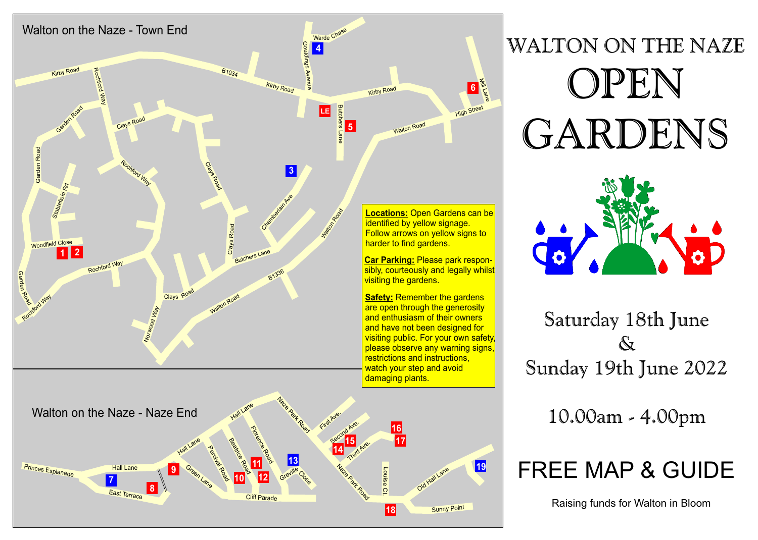

# WALTON ON THE NAZE OPEN GARDENS



Saturday 18th June  $\mathcal{N}$ Sunday 19th June 2022

10.00am - 4.00pm

### FREE MAP & GUIDE

Raising funds for Walton in Bloom